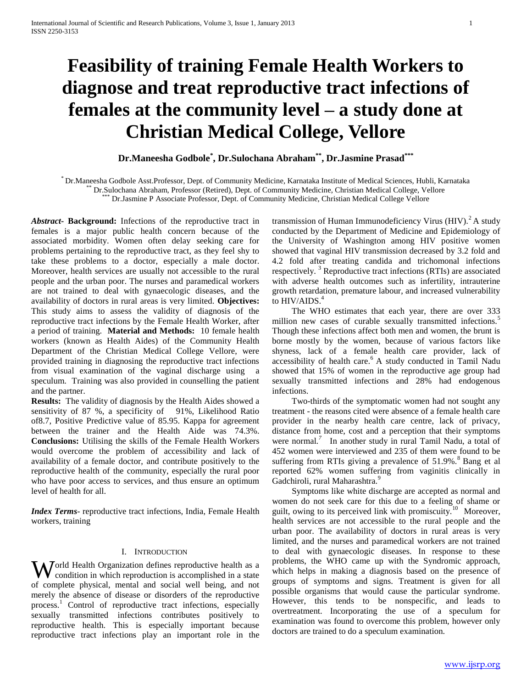# **Feasibility of training Female Health Workers to diagnose and treat reproductive tract infections of females at the community level – a study done at Christian Medical College, Vellore**

# **Dr.Maneesha Godbole\* , Dr.Sulochana Abraham\*\*, Dr.Jasmine Prasad\*\*\***

\* Dr.Maneesha Godbole Asst.Professor, Dept. of Community Medicine, Karnataka Institute of Medical Sciences, Hubli, Karnataka \*\* Dr.Sulochana Abraham, Professor (Retired), Dept. of Community Medicine, Christian Medical College, Vellore

Dr.Jasmine P Associate Professor, Dept. of Community Medicine, Christian Medical College Vellore

*Abstract***- Background:** Infections of the reproductive tract in females is a major public health concern because of the associated morbidity. Women often delay seeking care for problems pertaining to the reproductive tract, as they feel shy to take these problems to a doctor, especially a male doctor. Moreover, health services are usually not accessible to the rural people and the urban poor. The nurses and paramedical workers are not trained to deal with gynaecologic diseases, and the availability of doctors in rural areas is very limited. **Objectives:** This study aims to assess the validity of diagnosis of the reproductive tract infections by the Female Health Worker, after a period of training. **Material and Methods:** 10 female health workers (known as Health Aides) of the Community Health Department of the Christian Medical College Vellore, were provided training in diagnosing the reproductive tract infections from visual examination of the vaginal discharge using a speculum. Training was also provided in counselling the patient and the partner.

**Results:** The validity of diagnosis by the Health Aides showed a sensitivity of 87 %, a specificity of 91%, Likelihood Ratio of8.7, Positive Predictive value of 85.95. Kappa for agreement between the trainer and the Health Aide was 74.3%. **Conclusions:** Utilising the skills of the Female Health Workers would overcome the problem of accessibility and lack of availability of a female doctor, and contribute positively to the reproductive health of the community, especially the rural poor who have poor access to services, and thus ensure an optimum level of health for all.

*Index Terms*- reproductive tract infections, India, Female Health workers, training

#### I. INTRODUCTION

**W** orld Health Organization defines reproductive health as a complished in a state condition in which reproduction is accomplished in a state of complete physical, mental and social well being, and not merely the absence of disease or disorders of the reproductive process.<sup>1</sup> Control of reproductive tract infections, especially sexually transmitted infections contributes positively to reproductive health. This is especially important because reproductive tract infections play an important role in the

transmission of Human Immunodeficiency Virus  $(HIV).<sup>2</sup> A study$ conducted by the Department of Medicine and Epidemiology of the University of Washington among HIV positive women showed that vaginal HIV transmission decreased by 3.2 fold and 4.2 fold after treating candida and trichomonal infections respectively.<sup>3</sup> Reproductive tract infections (RTIs) are associated with adverse health outcomes such as infertility, intrauterine growth retardation, premature labour, and increased vulnerability to HIV/AIDS.<sup>4</sup>

 The WHO estimates that each year, there are over 333 million new cases of curable sexually transmitted infections.<sup>5</sup> Though these infections affect both men and women, the brunt is borne mostly by the women, because of various factors like shyness, lack of a female health care provider, lack of accessibility of health care.<sup>6</sup> A study conducted in Tamil Nadu showed that 15% of women in the reproductive age group had sexually transmitted infections and 28% had endogenous infections.

 Two-thirds of the symptomatic women had not sought any treatment - the reasons cited were absence of a female health care provider in the nearby health care centre, lack of privacy, distance from home, cost and a perception that their symptoms were normal.<sup>7</sup> In another study in rural Tamil Nadu, a total of 452 women were interviewed and 235 of them were found to be suffering from RTIs giving a prevalence of  $51.9\%$ .<sup>8</sup> Bang et al reported 62% women suffering from vaginitis clinically in Gadchiroli, rural Maharashtra.<sup>9</sup>

 Symptoms like white discharge are accepted as normal and women do not seek care for this due to a feeling of shame or guilt, owing to its perceived link with promiscuity.<sup>10</sup> Moreover, health services are not accessible to the rural people and the urban poor. The availability of doctors in rural areas is very limited, and the nurses and paramedical workers are not trained to deal with gynaecologic diseases. In response to these problems, the WHO came up with the Syndromic approach, which helps in making a diagnosis based on the presence of groups of symptoms and signs. Treatment is given for all possible organisms that would cause the particular syndrome. However, this tends to be nonspecific, and leads to overtreatment. Incorporating the use of a speculum for examination was found to overcome this problem, however only doctors are trained to do a speculum examination.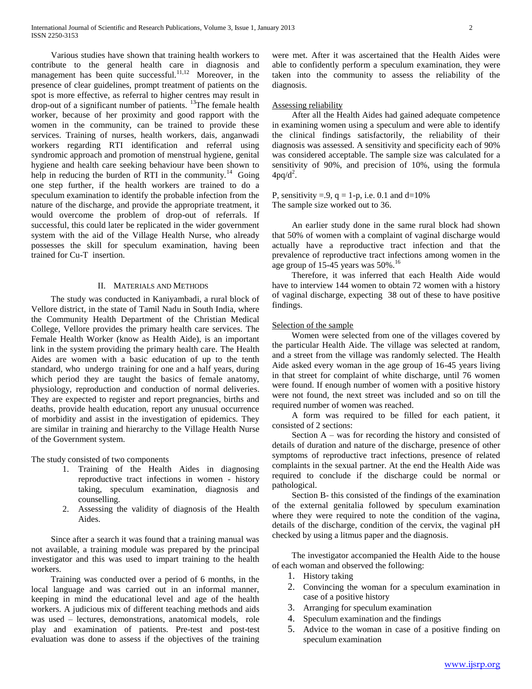Various studies have shown that training health workers to contribute to the general health care in diagnosis and management has been quite successful.<sup>11,12</sup> Moreover, in the presence of clear guidelines, prompt treatment of patients on the spot is more effective, as referral to higher centres may result in drop-out of a significant number of patients. <sup>13</sup>The female health worker, because of her proximity and good rapport with the women in the community, can be trained to provide these services. Training of nurses, health workers, dais, anganwadi workers regarding RTI identification and referral using syndromic approach and promotion of menstrual hygiene, genital hygiene and health care seeking behaviour have been shown to help in reducing the burden of RTI in the community.<sup>14</sup> Going one step further, if the health workers are trained to do a speculum examination to identify the probable infection from the nature of the discharge, and provide the appropriate treatment, it would overcome the problem of drop-out of referrals. If successful, this could later be replicated in the wider government system with the aid of the Village Health Nurse, who already possesses the skill for speculum examination, having been trained for Cu-T insertion.

#### II. MATERIALS AND METHODS

 The study was conducted in Kaniyambadi, a rural block of Vellore district, in the state of Tamil Nadu in South India, where the Community Health Department of the Christian Medical College, Vellore provides the primary health care services. The Female Health Worker (know as Health Aide), is an important link in the system providing the primary health care. The Health Aides are women with a basic education of up to the tenth standard, who undergo training for one and a half years, during which period they are taught the basics of female anatomy, physiology, reproduction and conduction of normal deliveries. They are expected to register and report pregnancies, births and deaths, provide health education, report any unusual occurrence of morbidity and assist in the investigation of epidemics. They are similar in training and hierarchy to the Village Health Nurse of the Government system.

The study consisted of two components

- 1. Training of the Health Aides in diagnosing reproductive tract infections in women - history taking, speculum examination, diagnosis and counselling.
- 2. Assessing the validity of diagnosis of the Health Aides.

 Since after a search it was found that a training manual was not available, a training module was prepared by the principal investigator and this was used to impart training to the health workers.

 Training was conducted over a period of 6 months, in the local language and was carried out in an informal manner, keeping in mind the educational level and age of the health workers. A judicious mix of different teaching methods and aids was used – lectures, demonstrations, anatomical models, role play and examination of patients. Pre-test and post-test evaluation was done to assess if the objectives of the training were met. After it was ascertained that the Health Aides were able to confidently perform a speculum examination, they were taken into the community to assess the reliability of the diagnosis.

#### Assessing reliability

 After all the Health Aides had gained adequate competence in examining women using a speculum and were able to identify the clinical findings satisfactorily, the reliability of their diagnosis was assessed. A sensitivity and specificity each of 90% was considered acceptable. The sample size was calculated for a sensitivity of 90%, and precision of 10%, using the formula  $4pq/d^2$ .

P, sensitivity = 9,  $q = 1-p$ , i.e. 0.1 and d=10% The sample size worked out to 36.

 An earlier study done in the same rural block had shown that 50% of women with a complaint of vaginal discharge would actually have a reproductive tract infection and that the prevalence of reproductive tract infections among women in the age group of 15-45 years was  $50\%$ .<sup>16</sup>

 Therefore, it was inferred that each Health Aide would have to interview 144 women to obtain 72 women with a history of vaginal discharge, expecting 38 out of these to have positive findings.

#### Selection of the sample

 Women were selected from one of the villages covered by the particular Health Aide. The village was selected at random, and a street from the village was randomly selected. The Health Aide asked every woman in the age group of 16-45 years living in that street for complaint of white discharge, until 76 women were found. If enough number of women with a positive history were not found, the next street was included and so on till the required number of women was reached.

 A form was required to be filled for each patient, it consisted of 2 sections:

Section  $A$  – was for recording the history and consisted of details of duration and nature of the discharge, presence of other symptoms of reproductive tract infections, presence of related complaints in the sexual partner. At the end the Health Aide was required to conclude if the discharge could be normal or pathological.

 Section B- this consisted of the findings of the examination of the external genitalia followed by speculum examination where they were required to note the condition of the vagina, details of the discharge, condition of the cervix, the vaginal pH checked by using a litmus paper and the diagnosis.

 The investigator accompanied the Health Aide to the house of each woman and observed the following:

- 1. History taking
- 2. Convincing the woman for a speculum examination in case of a positive history
- 3. Arranging for speculum examination
- 4. Speculum examination and the findings
- 5. Advice to the woman in case of a positive finding on speculum examination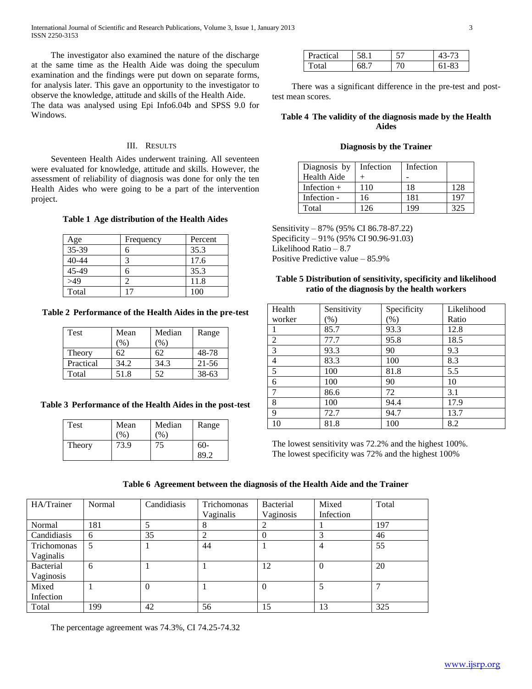International Journal of Scientific and Research Publications, Volume 3, Issue 1, January 2013 3 ISSN 2250-3153

 The investigator also examined the nature of the discharge at the same time as the Health Aide was doing the speculum examination and the findings were put down on separate forms, for analysis later. This gave an opportunity to the investigator to observe the knowledge, attitude and skills of the Health Aide. The data was analysed using Epi Info6.04b and SPSS 9.0 for

Windows.

# III. RESULTS

 Seventeen Health Aides underwent training. All seventeen were evaluated for knowledge, attitude and skills. However, the assessment of reliability of diagnosis was done for only the ten Health Aides who were going to be a part of the intervention project.

**Table 1 Age distribution of the Health Aides**

| Age       | Frequency | Percent |
|-----------|-----------|---------|
| 35-39     |           | 35.3    |
| $40 - 44$ |           | 17.6    |
| 45-49     |           | 35.3    |
| >49       |           | 11.8    |
| Total     |           | 100     |

**Table 2 Performance of the Health Aides in the pre-test**

| Test      | Mean   | Median | Range     |
|-----------|--------|--------|-----------|
|           | $'$ %. | $\%$   |           |
| Theory    | 62     | 62     | 48-78     |
| Practical | 34.2   | 34.3   | $21 - 56$ |
| Total     | 51.8   | 52     | $38-63$   |

# **Table 3 Performance of the Health Aides in the post-test**

| Test   | Mean          | Median        | Range |  |
|--------|---------------|---------------|-------|--|
|        | $\frac{1}{2}$ | $\frac{1}{2}$ |       |  |
| Theory | 73.9          |               | $60-$ |  |
|        |               |               | 89.2  |  |

| Practical | ١X | ςη |  |
|-----------|----|----|--|
| `otaì     |    |    |  |

 There was a significant difference in the pre-test and posttest mean scores.

#### **Table 4 The validity of the diagnosis made by the Health Aides**

#### **Diagnosis by the Trainer**

| Diagnosis by  | Infection | Infection |     |
|---------------|-----------|-----------|-----|
| Health Aide   |           |           |     |
| Infection $+$ | 110       | 18        | 128 |
| Infection -   | 16        | 181       | 197 |
| Total         | 126       | 199       | 325 |

Sensitivity – 87% (95% CI 86.78-87.22) Specificity – 91% (95% CI 90.96-91.03) Likelihood Ratio – 8.7 Positive Predictive value – 85.9%

## **Table 5 Distribution of sensitivity, specificity and likelihood ratio of the diagnosis by the health workers**

| Health         | Sensitivity         | Specificity | Likelihood |
|----------------|---------------------|-------------|------------|
| worker         | $\left( \% \right)$ | $(\%)$      | Ratio      |
|                | 85.7                | 93.3        | 12.8       |
| $\overline{2}$ | 77.7                | 95.8        | 18.5       |
| 3              | 93.3                | 90          | 9.3        |
| 4              | 83.3                | 100         | 8.3        |
| 5              | 100                 | 81.8        | 5.5        |
| 6              | 100                 | 90          | 10         |
| 7              | 86.6                | 72          | 3.1        |
| 8              | 100                 | 94.4        | 17.9       |
| 9              | 72.7                | 94.7        | 13.7       |
| 10             | 81.8                | 100         | 8.2        |

The lowest sensitivity was 72.2% and the highest 100%. The lowest specificity was 72% and the highest 100%

# **Table 6 Agreement between the diagnosis of the Health Aide and the Trainer**

| HA/Trainer  | Normal | Candidiasis | Trichomonas<br>Vaginalis | Bacterial<br>Vaginosis | Mixed<br>Infection | Total |
|-------------|--------|-------------|--------------------------|------------------------|--------------------|-------|
|             |        |             |                          |                        |                    |       |
| Normal      | 181    | 5           |                          |                        |                    | 197   |
| Candidiasis | 6      | 35          |                          |                        | 3                  | 46    |
| Trichomonas | 5      |             | 44                       |                        | 4                  | 55    |
| Vaginalis   |        |             |                          |                        |                    |       |
| Bacterial   | 6      |             |                          | 12                     | $\theta$           | 20    |
| Vaginosis   |        |             |                          |                        |                    |       |
| Mixed       |        | $\theta$    |                          | $\Omega$               | 5                  | ⇁     |
| Infection   |        |             |                          |                        |                    |       |
| Total       | 199    | 42          | 56                       | 15                     | 13                 | 325   |

The percentage agreement was 74.3%, CI 74.25-74.32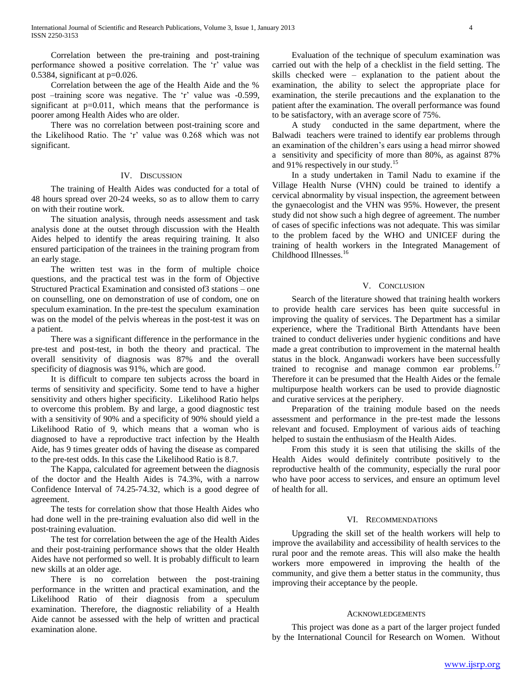Correlation between the pre-training and post-training performance showed a positive correlation. The 'r' value was 0.5384, significant at  $p=0.026$ .

 Correlation between the age of the Health Aide and the % post –training score was negative. The 'r' value was -0.599, significant at p=0.011, which means that the performance is poorer among Health Aides who are older.

 There was no correlation between post-training score and the Likelihood Ratio. The 'r' value was 0.268 which was not significant.

#### IV. DISCUSSION

 The training of Health Aides was conducted for a total of 48 hours spread over 20-24 weeks, so as to allow them to carry on with their routine work.

 The situation analysis, through needs assessment and task analysis done at the outset through discussion with the Health Aides helped to identify the areas requiring training. It also ensured participation of the trainees in the training program from an early stage.

 The written test was in the form of multiple choice questions, and the practical test was in the form of Objective Structured Practical Examination and consisted of3 stations – one on counselling, one on demonstration of use of condom, one on speculum examination. In the pre-test the speculum examination was on the model of the pelvis whereas in the post-test it was on a patient.

 There was a significant difference in the performance in the pre-test and post-test, in both the theory and practical. The overall sensitivity of diagnosis was 87% and the overall specificity of diagnosis was 91%, which are good.

 It is difficult to compare ten subjects across the board in terms of sensitivity and specificity. Some tend to have a higher sensitivity and others higher specificity. Likelihood Ratio helps to overcome this problem. By and large, a good diagnostic test with a sensitivity of 90% and a specificity of 90% should yield a Likelihood Ratio of 9, which means that a woman who is diagnosed to have a reproductive tract infection by the Health Aide, has 9 times greater odds of having the disease as compared to the pre-test odds. In this case the Likelihood Ratio is 8.7.

 The Kappa, calculated for agreement between the diagnosis of the doctor and the Health Aides is 74.3%, with a narrow Confidence Interval of 74.25-74.32, which is a good degree of agreement.

 The tests for correlation show that those Health Aides who had done well in the pre-training evaluation also did well in the post-training evaluation.

 The test for correlation between the age of the Health Aides and their post-training performance shows that the older Health Aides have not performed so well. It is probably difficult to learn new skills at an older age.

 There is no correlation between the post-training performance in the written and practical examination, and the Likelihood Ratio of their diagnosis from a speculum examination. Therefore, the diagnostic reliability of a Health Aide cannot be assessed with the help of written and practical examination alone.

 Evaluation of the technique of speculum examination was carried out with the help of a checklist in the field setting. The skills checked were – explanation to the patient about the examination, the ability to select the appropriate place for examination, the sterile precautions and the explanation to the patient after the examination. The overall performance was found to be satisfactory, with an average score of 75%.

 A study conducted in the same department, where the Balwadi teachers were trained to identify ear problems through an examination of the children's ears using a head mirror showed a sensitivity and specificity of more than 80%, as against 87% and 91% respectively in our study.<sup>15</sup>

 In a study undertaken in Tamil Nadu to examine if the Village Health Nurse (VHN) could be trained to identify a cervical abnormality by visual inspection, the agreement between the gynaecologist and the VHN was 95%. However, the present study did not show such a high degree of agreement. The number of cases of specific infections was not adequate. This was similar to the problem faced by the WHO and UNICEF during the training of health workers in the Integrated Management of Childhood Illnesses.<sup>16</sup>

#### V. CONCLUSION

 Search of the literature showed that training health workers to provide health care services has been quite successful in improving the quality of services. The Department has a similar experience, where the Traditional Birth Attendants have been trained to conduct deliveries under hygienic conditions and have made a great contribution to improvement in the maternal health status in the block. Anganwadi workers have been successfully trained to recognise and manage common ear problems.<sup>17</sup> Therefore it can be presumed that the Health Aides or the female multipurpose health workers can be used to provide diagnostic and curative services at the periphery.

 Preparation of the training module based on the needs assessment and performance in the pre-test made the lessons relevant and focused. Employment of various aids of teaching helped to sustain the enthusiasm of the Health Aides.

 From this study it is seen that utilising the skills of the Health Aides would definitely contribute positively to the reproductive health of the community, especially the rural poor who have poor access to services, and ensure an optimum level of health for all.

## VI. RECOMMENDATIONS

 Upgrading the skill set of the health workers will help to improve the availability and accessibility of health services to the rural poor and the remote areas. This will also make the health workers more empowered in improving the health of the community, and give them a better status in the community, thus improving their acceptance by the people.

#### **ACKNOWLEDGEMENTS**

 This project was done as a part of the larger project funded by the International Council for Research on Women. Without